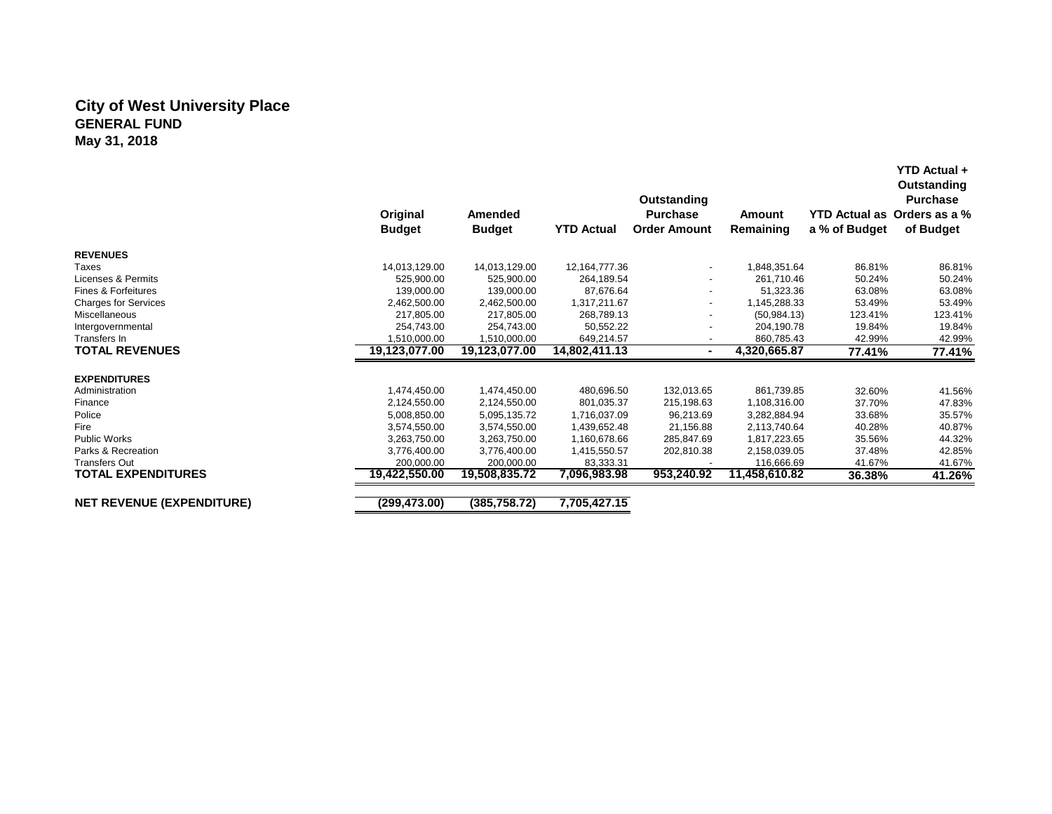#### **City of West University Place GENERAL FUND May 31, 2018**

|                                  | Original<br><b>Budget</b>    | Amended<br><b>Budget</b> | <b>YTD Actual</b> | Outstanding<br><b>Purchase</b><br><b>Order Amount</b> | Amount<br>Remaining | <b>YTD Actual as</b><br>a % of Budget | Outstanding<br><b>Purchase</b><br>Orders as a %<br>of Budget |
|----------------------------------|------------------------------|--------------------------|-------------------|-------------------------------------------------------|---------------------|---------------------------------------|--------------------------------------------------------------|
| <b>REVENUES</b>                  |                              |                          |                   |                                                       |                     |                                       |                                                              |
| Taxes                            | 14,013,129.00                | 14,013,129.00            | 12,164,777.36     |                                                       | 1,848,351.64        | 86.81%                                | 86.81%                                                       |
| Licenses & Permits               | 525.900.00                   | 525.900.00               | 264.189.54        |                                                       | 261,710.46          | 50.24%                                | 50.24%                                                       |
| Fines & Forfeitures              | 139,000.00                   | 139,000.00               | 87.676.64         |                                                       | 51,323.36           | 63.08%                                | 63.08%                                                       |
| <b>Charges for Services</b>      | 2,462,500.00                 | 2,462,500.00             | 1,317,211.67      |                                                       | 1,145,288.33        | 53.49%                                | 53.49%                                                       |
| Miscellaneous                    | 217,805.00                   | 217.805.00               | 268,789.13        |                                                       | (50, 984.13)        | 123.41%                               | 123.41%                                                      |
| Intergovernmental                | 254,743.00                   | 254,743.00               | 50,552.22         |                                                       | 204,190.78          | 19.84%                                | 19.84%                                                       |
| Transfers In                     | 1,510,000.00                 | 1.510.000.00             | 649.214.57        |                                                       | 860.785.43          | 42.99%                                | 42.99%                                                       |
| <b>TOTAL REVENUES</b>            | 19,123,077.00                | 19,123,077.00            | 14,802,411.13     | $\blacksquare$                                        | 4,320,665.87        | 77.41%                                | 77.41%                                                       |
| <b>EXPENDITURES</b>              |                              |                          |                   |                                                       |                     |                                       |                                                              |
|                                  |                              |                          | 480.696.50        |                                                       | 861.739.85          | 32.60%                                |                                                              |
| Administration                   | 1,474,450.00                 | 1,474,450.00             | 801.035.37        | 132,013.65                                            |                     | 37.70%                                | 41.56%                                                       |
| Finance<br>Police                | 2,124,550.00                 | 2,124,550.00             |                   | 215,198.63                                            | 1,108,316.00        |                                       | 47.83%                                                       |
|                                  | 5,008,850.00                 | 5,095,135.72             | 1,716,037.09      | 96,213.69                                             | 3,282,884.94        | 33.68%                                | 35.57%                                                       |
| Fire<br><b>Public Works</b>      | 3,574,550.00<br>3.263.750.00 | 3,574,550.00             | 1,439,652.48      | 21,156.88                                             | 2,113,740.64        | 40.28%                                | 40.87%                                                       |
| Parks & Recreation               |                              | 3.263.750.00             | 1,160,678.66      | 285,847.69                                            | 1.817.223.65        | 35.56%                                | 44.32%                                                       |
|                                  | 3,776,400.00                 | 3,776,400.00             | 1,415,550.57      | 202,810.38                                            | 2,158,039.05        | 37.48%                                | 42.85%                                                       |
| <b>Transfers Out</b>             | 200.000.00                   | 200.000.00               | 83,333.31         |                                                       | 116,666.69          | 41.67%                                | 41.67%                                                       |
| <b>TOTAL EXPENDITURES</b>        | 19,422,550.00                | 19,508,835.72            | 7,096,983.98      | 953,240.92                                            | 11,458,610.82       | 36.38%                                | 41.26%                                                       |
| <b>NET REVENUE (EXPENDITURE)</b> | (299, 473.00)                | (385, 758.72)            | 7,705,427.15      |                                                       |                     |                                       |                                                              |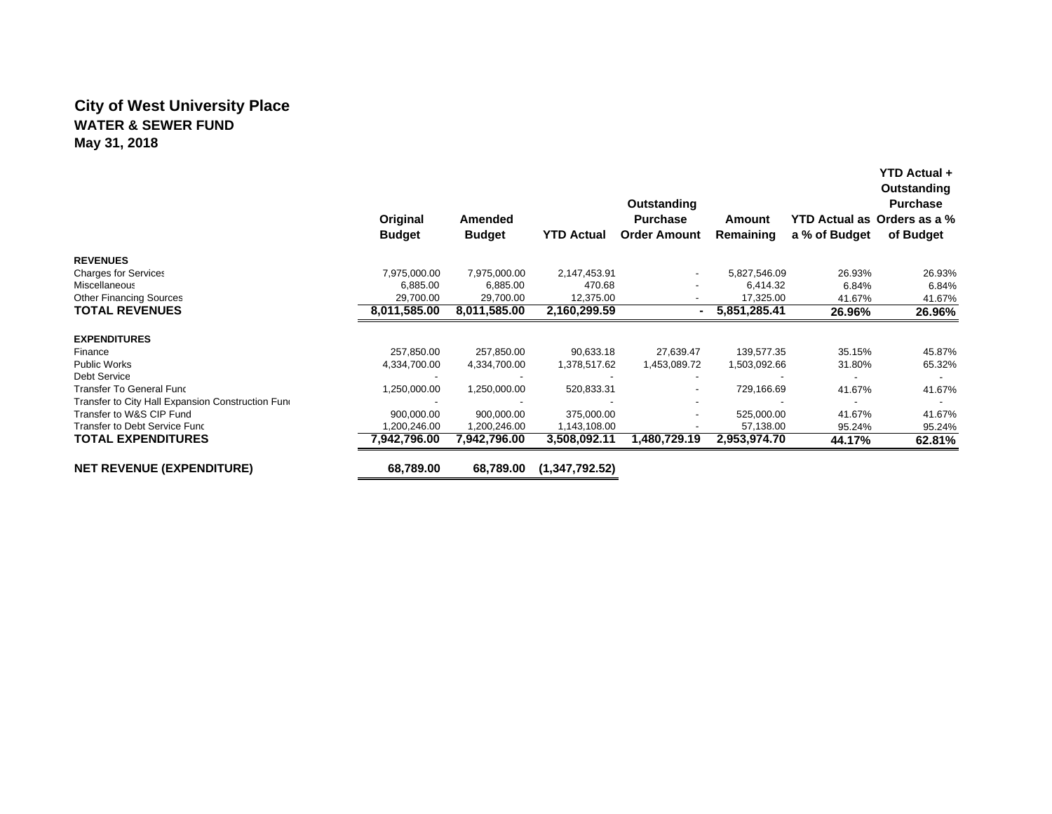## **City of West University Place WATER & SEWER FUNDMay 31, 2018**

|                                                   | Original<br><b>Budget</b> | Amended<br><b>Budget</b> | <b>YTD Actual</b> | Outstanding<br><b>Purchase</b><br><b>Order Amount</b> | Amount<br>Remaining | YTD Actual as Orders as a %<br>a % of Budget | YTD Actual +<br>Outstanding<br><b>Purchase</b><br>of Budget |
|---------------------------------------------------|---------------------------|--------------------------|-------------------|-------------------------------------------------------|---------------------|----------------------------------------------|-------------------------------------------------------------|
| <b>REVENUES</b>                                   |                           |                          |                   |                                                       |                     |                                              |                                                             |
| <b>Charges for Services</b>                       | 7,975,000.00              | 7,975,000.00             | 2,147,453.91      |                                                       | 5,827,546.09        | 26.93%                                       | 26.93%                                                      |
| <b>Miscellaneous</b>                              | 6,885.00                  | 6,885.00                 | 470.68            |                                                       | 6,414.32            | 6.84%                                        | 6.84%                                                       |
| <b>Other Financing Sources</b>                    | 29,700.00                 | 29,700.00                | 12,375.00         |                                                       | 17,325.00           | 41.67%                                       | 41.67%                                                      |
| <b>TOTAL REVENUES</b>                             | 8,011,585.00              | 8,011,585.00             | 2,160,299.59      |                                                       | 5,851,285.41        | 26.96%                                       | 26.96%                                                      |
| <b>EXPENDITURES</b>                               |                           |                          |                   |                                                       |                     |                                              |                                                             |
| Finance                                           | 257,850.00                | 257,850.00               | 90,633.18         | 27,639.47                                             | 139,577.35          | 35.15%                                       | 45.87%                                                      |
| <b>Public Works</b>                               | 4,334,700.00              | 4,334,700.00             | 1,378,517.62      | 1,453,089.72                                          | 1,503,092.66        | 31.80%                                       | 65.32%                                                      |
| <b>Debt Service</b>                               |                           |                          |                   |                                                       |                     |                                              |                                                             |
| <b>Transfer To General Func</b>                   | 1,250,000.00              | 1,250,000.00             | 520,833.31        |                                                       | 729,166.69          | 41.67%                                       | 41.67%                                                      |
| Transfer to City Hall Expansion Construction Fund |                           |                          |                   |                                                       |                     |                                              |                                                             |
| Transfer to W&S CIP Fund                          | 900,000.00                | 900,000.00               | 375,000.00        |                                                       | 525,000.00          | 41.67%                                       | 41.67%                                                      |
| Transfer to Debt Service Func                     | 1,200,246.00              | 1,200,246.00             | 1,143,108.00      |                                                       | 57,138.00           | 95.24%                                       | 95.24%                                                      |
| <b>TOTAL EXPENDITURES</b>                         | 7,942,796.00              | 7,942,796.00             | 3,508,092.11      | 1,480,729.19                                          | 2,953,974.70        | 44.17%                                       | 62.81%                                                      |
| <b>NET REVENUE (EXPENDITURE)</b>                  | 68,789.00                 | 68,789.00                | (1,347,792.52)    |                                                       |                     |                                              |                                                             |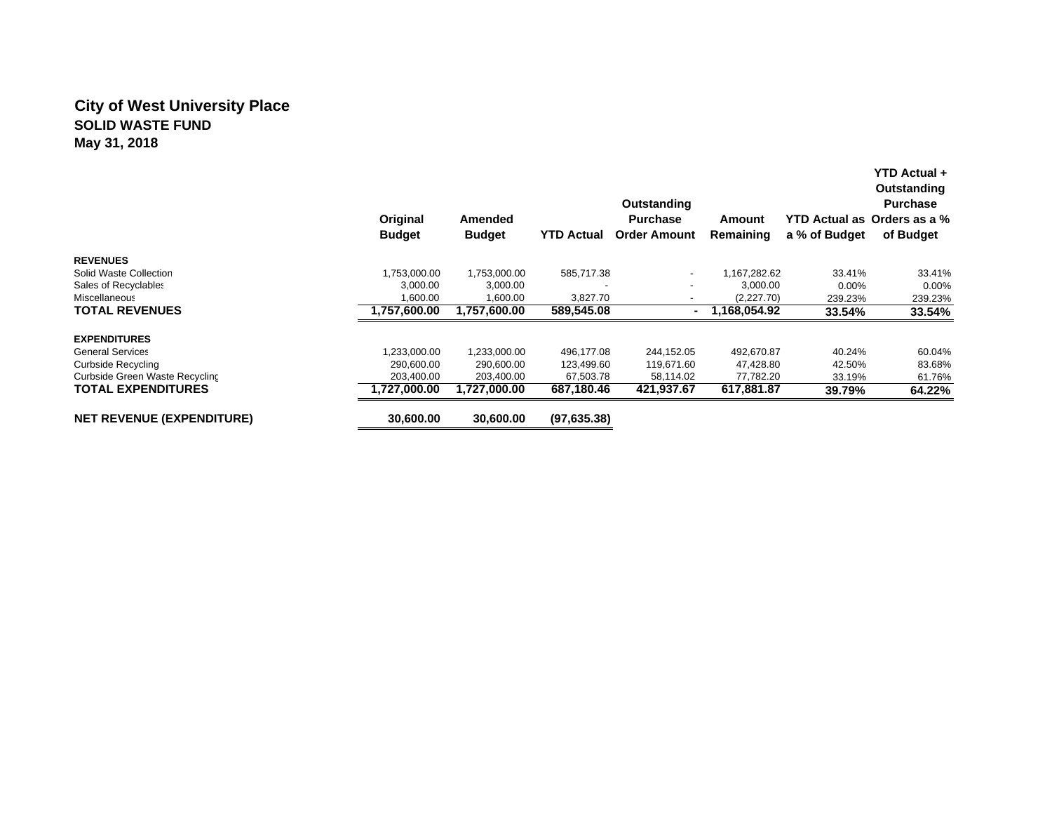## **City of West University Place SOLID WASTE FUNDMay 31, 2018**

|                                  | Original<br><b>Budget</b> | Amended<br><b>Budget</b> | <b>YTD Actual</b> | Outstanding<br><b>Purchase</b><br><b>Order Amount</b> | Amount<br>Remaining | a % of Budget | YTD Actual +<br>Outstanding<br><b>Purchase</b><br>YTD Actual as Orders as a %<br>of Budget |
|----------------------------------|---------------------------|--------------------------|-------------------|-------------------------------------------------------|---------------------|---------------|--------------------------------------------------------------------------------------------|
| <b>REVENUES</b>                  |                           |                          |                   |                                                       |                     |               |                                                                                            |
| Solid Waste Collection           | 1,753,000.00              | 1,753,000.00             | 585,717.38        | $\overline{\phantom{a}}$                              | 1,167,282.62        | 33.41%        | 33.41%                                                                                     |
| Sales of Recyclables             | 3,000.00                  | 3,000.00                 |                   | -                                                     | 3,000.00            | $0.00\%$      | 0.00%                                                                                      |
| Miscellaneous                    | 1,600.00                  | 1,600.00                 | 3,827.70          | $\overline{\phantom{a}}$                              | (2,227.70)          | 239.23%       | 239.23%                                                                                    |
| <b>TOTAL REVENUES</b>            | 1,757,600.00              | 1.757.600.00             | 589,545.08        |                                                       | 1.168.054.92        | 33.54%        | 33.54%                                                                                     |
| <b>EXPENDITURES</b>              |                           |                          |                   |                                                       |                     |               |                                                                                            |
| <b>General Services</b>          | ,233,000.00               | 1,233,000.00             | 496,177.08        | 244,152.05                                            | 492,670.87          | 40.24%        | 60.04%                                                                                     |
| <b>Curbside Recycling</b>        | 290,600.00                | 290,600.00               | 123,499.60        | 119,671.60                                            | 47,428.80           | 42.50%        | 83.68%                                                                                     |
| Curbside Green Waste Recycling   | 203,400.00                | 203,400.00               | 67,503.78         | 58,114.02                                             | 77,782.20           | 33.19%        | 61.76%                                                                                     |
| <b>TOTAL EXPENDITURES</b>        | 1.727.000.00              | 1.727.000.00             | 687,180.46        | 421.937.67                                            | 617,881.87          | 39.79%        | 64.22%                                                                                     |
| <b>NET REVENUE (EXPENDITURE)</b> | 30,600.00                 | 30.600.00                | (97, 635.38)      |                                                       |                     |               |                                                                                            |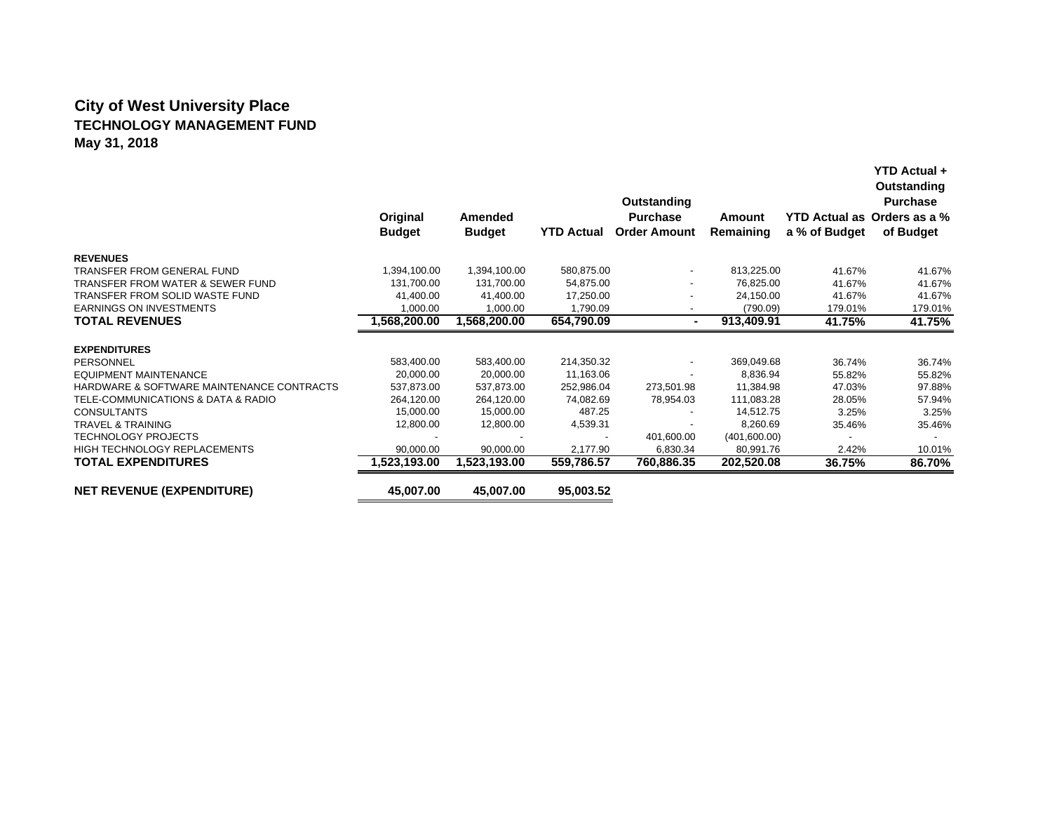# **City of West University Place TECHNOLOGY MANAGEMENT FUNDMay 31, 2018**

|                                           | Original<br><b>Budget</b> | Amended<br><b>Budget</b> | <b>YTD Actual</b> | Outstanding<br><b>Purchase</b><br><b>Order Amount</b> | Amount<br>Remaining | a % of Budget | YTD Actual +<br>Outstanding<br><b>Purchase</b><br>YTD Actual as Orders as a %<br>of Budget |
|-------------------------------------------|---------------------------|--------------------------|-------------------|-------------------------------------------------------|---------------------|---------------|--------------------------------------------------------------------------------------------|
| <b>REVENUES</b>                           |                           |                          |                   |                                                       |                     |               |                                                                                            |
| TRANSFER FROM GENERAL FUND                | 1,394,100.00              | 1,394,100.00             | 580,875.00        |                                                       | 813,225.00          | 41.67%        | 41.67%                                                                                     |
| TRANSFER FROM WATER & SEWER FUND          | 131,700.00                | 131,700.00               | 54,875.00         |                                                       | 76,825.00           | 41.67%        | 41.67%                                                                                     |
| TRANSFER FROM SOLID WASTE FUND            | 41,400.00                 | 41,400.00                | 17,250.00         |                                                       | 24,150.00           | 41.67%        | 41.67%                                                                                     |
| <b>EARNINGS ON INVESTMENTS</b>            | 1,000.00                  | 1,000.00                 | 1,790.09          |                                                       | (790.09)            | 179.01%       | 179.01%                                                                                    |
| <b>TOTAL REVENUES</b>                     | 1,568,200.00              | 1,568,200.00             | 654,790.09        | $\sim$                                                | 913,409.91          | 41.75%        | 41.75%                                                                                     |
| <b>EXPENDITURES</b>                       |                           |                          |                   |                                                       |                     |               |                                                                                            |
| PERSONNEL                                 | 583,400.00                | 583,400.00               | 214,350.32        | $\overline{\phantom{a}}$                              | 369,049.68          | 36.74%        | 36.74%                                                                                     |
| EQUIPMENT MAINTENANCE                     | 20,000.00                 | 20.000.00                | 11,163.06         |                                                       | 8.836.94            | 55.82%        | 55.82%                                                                                     |
| HARDWARE & SOFTWARE MAINTENANCE CONTRACTS | 537,873.00                | 537,873.00               | 252,986.04        | 273,501.98                                            | 11,384.98           | 47.03%        | 97.88%                                                                                     |
| TELE-COMMUNICATIONS & DATA & RADIO        | 264,120.00                | 264,120.00               | 74,082.69         | 78,954.03                                             | 111,083.28          | 28.05%        | 57.94%                                                                                     |
| <b>CONSULTANTS</b>                        | 15,000.00                 | 15,000.00                | 487.25            |                                                       | 14,512.75           | 3.25%         | 3.25%                                                                                      |
| <b>TRAVEL &amp; TRAINING</b>              | 12,800.00                 | 12,800.00                | 4,539.31          |                                                       | 8,260.69            | 35.46%        | 35.46%                                                                                     |
| <b>TECHNOLOGY PROJECTS</b>                |                           |                          |                   | 401,600.00                                            | (401,600.00)        |               |                                                                                            |
| <b>HIGH TECHNOLOGY REPLACEMENTS</b>       | 90,000.00                 | 90,000.00                | 2,177.90          | 6,830.34                                              | 80,991.76           | 2.42%         | 10.01%                                                                                     |
| <b>TOTAL EXPENDITURES</b>                 | 1,523,193.00              | 1,523,193.00             | 559,786.57        | 760,886.35                                            | 202,520.08          | 36.75%        | 86.70%                                                                                     |
| <b>NET REVENUE (EXPENDITURE)</b>          | 45,007.00                 | 45,007.00                | 95,003.52         |                                                       |                     |               |                                                                                            |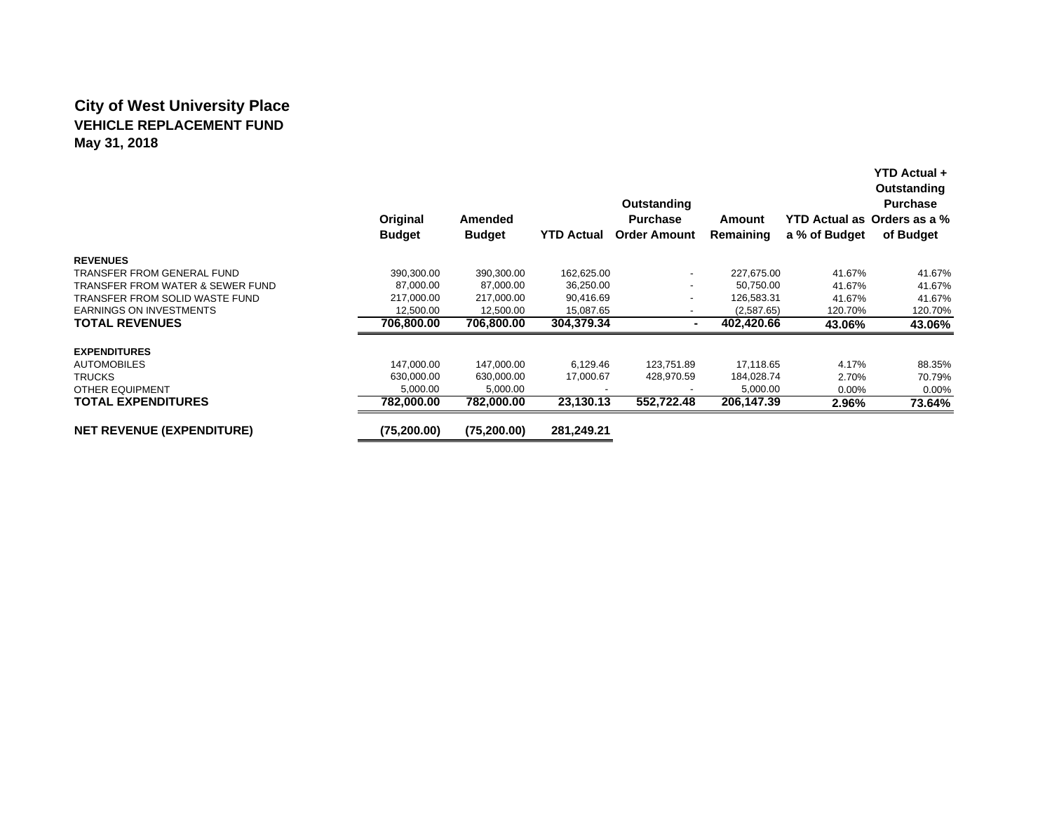## **City of West University Place VEHICLE REPLACEMENT FUNDMay 31, 2018**

|                                  | Original<br><b>Budget</b> | Amended<br><b>Budget</b> | <b>YTD Actual</b> | Outstanding<br><b>Purchase</b><br><b>Order Amount</b> | Amount<br>Remaining | a % of Budget | YTD Actual +<br>Outstanding<br><b>Purchase</b><br>YTD Actual as Orders as a %<br>of Budget |
|----------------------------------|---------------------------|--------------------------|-------------------|-------------------------------------------------------|---------------------|---------------|--------------------------------------------------------------------------------------------|
| <b>REVENUES</b>                  |                           |                          |                   |                                                       |                     |               |                                                                                            |
| TRANSFER FROM GENERAL FUND       | 390,300.00                | 390,300.00               | 162,625.00        | $\overline{a}$                                        | 227,675.00          | 41.67%        | 41.67%                                                                                     |
| TRANSFER FROM WATER & SEWER FUND | 87,000.00                 | 87,000.00                | 36,250.00         | -                                                     | 50,750.00           | 41.67%        | 41.67%                                                                                     |
| TRANSFER FROM SOLID WASTE FUND   | 217.000.00                | 217,000.00               | 90.416.69         |                                                       | 126,583.31          | 41.67%        | 41.67%                                                                                     |
| <b>EARNINGS ON INVESTMENTS</b>   | 12,500.00                 | 12,500.00                | 15,087.65         | -                                                     | (2,587.65)          | 120.70%       | 120.70%                                                                                    |
| <b>TOTAL REVENUES</b>            | 706,800.00                | 706,800.00               | 304.379.34        |                                                       | 402.420.66          | 43.06%        | 43.06%                                                                                     |
| <b>EXPENDITURES</b>              |                           |                          |                   |                                                       |                     |               |                                                                                            |
| <b>AUTOMOBILES</b>               | 147,000.00                | 147,000.00               | 6,129.46          | 123,751.89                                            | 17,118.65           | 4.17%         | 88.35%                                                                                     |
| <b>TRUCKS</b>                    | 630,000.00                | 630,000.00               | 17,000.67         | 428,970.59                                            | 184,028.74          | 2.70%         | 70.79%                                                                                     |
| OTHER EQUIPMENT                  | 5,000.00                  | 5,000.00                 |                   |                                                       | 5,000.00            | 0.00%         | $0.00\%$                                                                                   |
| <b>TOTAL EXPENDITURES</b>        | 782.000.00                | 782.000.00               | 23,130.13         | 552.722.48                                            | 206,147.39          | 2.96%         | 73.64%                                                                                     |
| <b>NET REVENUE (EXPENDITURE)</b> | (75, 200.00)              | (75, 200.00)             | 281,249.21        |                                                       |                     |               |                                                                                            |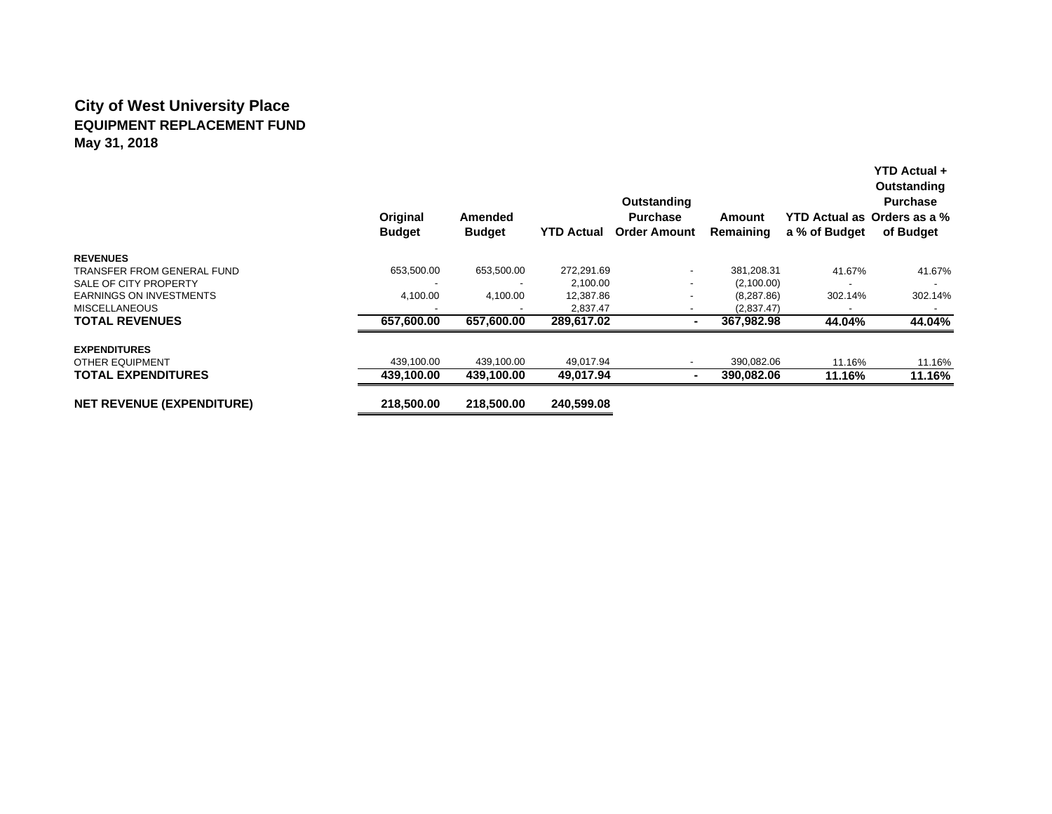# **City of West University Place EQUIPMENT REPLACEMENT FUNDMay 31, 2018**

|                                  | Original<br><b>Budget</b> | <b>Amended</b><br><b>Budget</b> | <b>YTD Actual</b> | Outstanding<br><b>Purchase</b><br><b>Order Amount</b> | Amount<br>Remaining | YTD Actual as Orders as a %<br>a % of Budget | Outstanding<br><b>Purchase</b><br>of Budget |
|----------------------------------|---------------------------|---------------------------------|-------------------|-------------------------------------------------------|---------------------|----------------------------------------------|---------------------------------------------|
| <b>REVENUES</b>                  |                           |                                 |                   |                                                       |                     |                                              |                                             |
| TRANSFER FROM GENERAL FUND       | 653,500.00                | 653,500.00                      | 272,291.69        | $\overline{\phantom{a}}$                              | 381,208.31          | 41.67%                                       | 41.67%                                      |
| SALE OF CITY PROPERTY            |                           |                                 | 2,100.00          | $\overline{\phantom{a}}$                              | (2,100.00)          |                                              |                                             |
| <b>EARNINGS ON INVESTMENTS</b>   | 4,100.00                  | 4,100.00                        | 12,387.86         | ٠                                                     | (8, 287.86)         | 302.14%                                      | 302.14%                                     |
| <b>MISCELLANEOUS</b>             |                           |                                 | 2,837.47          | $\overline{\phantom{a}}$                              | (2,837.47)          |                                              |                                             |
| <b>TOTAL REVENUES</b>            | 657.600.00                | 657.600.00                      | 289,617.02        |                                                       | 367.982.98          | 44.04%                                       | 44.04%                                      |
| <b>EXPENDITURES</b>              |                           |                                 |                   |                                                       |                     |                                              |                                             |
| <b>OTHER EQUIPMENT</b>           | 439,100.00                | 439,100.00                      | 49,017.94         |                                                       | 390,082.06          | 11.16%                                       | 11.16%                                      |
| <b>TOTAL EXPENDITURES</b>        | 439.100.00                | 439.100.00                      | 49.017.94         | $\blacksquare$                                        | 390.082.06          | 11.16%                                       | 11.16%                                      |
| <b>NET REVENUE (EXPENDITURE)</b> | 218.500.00                | 218,500,00                      | 240.599.08        |                                                       |                     |                                              |                                             |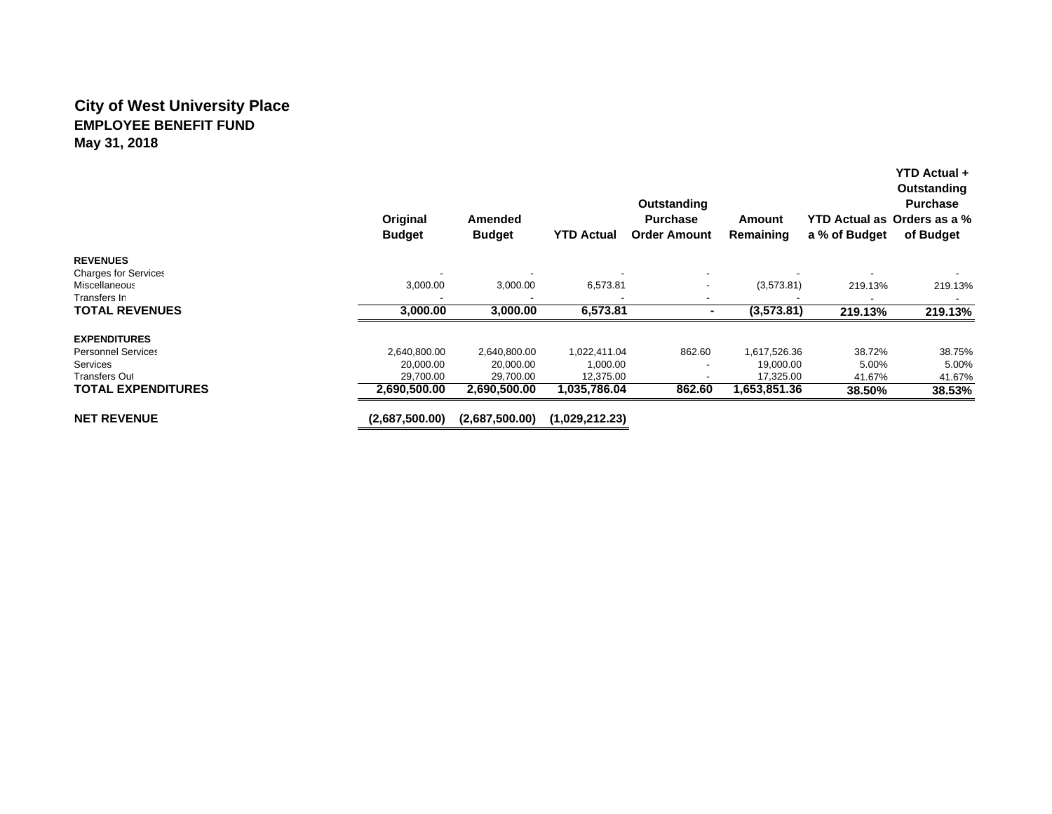## **City of West University Place EMPLOYEE BENEFIT FUNDMay 31, 2018**

|                             | Original<br><b>Budget</b> | Amended<br><b>Budget</b> | <b>YTD Actual</b> | Outstanding<br><b>Purchase</b><br><b>Order Amount</b> | Amount<br>Remaining | a % of Budget | Outstanding<br><b>Purchase</b><br>YTD Actual as Orders as a %<br>of Budget |
|-----------------------------|---------------------------|--------------------------|-------------------|-------------------------------------------------------|---------------------|---------------|----------------------------------------------------------------------------|
| <b>REVENUES</b>             |                           |                          |                   |                                                       |                     |               |                                                                            |
| <b>Charges for Services</b> |                           |                          |                   |                                                       |                     |               |                                                                            |
| Miscellaneous               | 3,000.00                  | 3,000.00                 | 6,573.81          |                                                       | (3,573.81)          | 219.13%       | 219.13%                                                                    |
| Transfers In                |                           |                          |                   |                                                       |                     |               |                                                                            |
| <b>TOTAL REVENUES</b>       | 3,000.00                  | 3,000.00                 | 6,573.81          |                                                       | (3,573.81)          | 219.13%       | 219.13%                                                                    |
| <b>EXPENDITURES</b>         |                           |                          |                   |                                                       |                     |               |                                                                            |
| <b>Personnel Services</b>   | 2,640,800.00              | 2,640,800.00             | 1.022.411.04      | 862.60                                                | 1,617,526.36        | 38.72%        | 38.75%                                                                     |
| <b>Services</b>             | 20,000.00                 | 20,000.00                | 1,000.00          |                                                       | 19,000.00           | 5.00%         | 5.00%                                                                      |
| <b>Transfers Out</b>        | 29,700.00                 | 29,700.00                | 12,375.00         |                                                       | 17,325.00           | 41.67%        | 41.67%                                                                     |
| <b>TOTAL EXPENDITURES</b>   | 2.690.500.00              | 2.690.500.00             | 1,035,786.04      | 862.60                                                | 1,653,851.36        | 38.50%        | 38.53%                                                                     |
| <b>NET REVENUE</b>          | (2,687,500.00)            | (2,687,500.00)           | (1,029,212.23)    |                                                       |                     |               |                                                                            |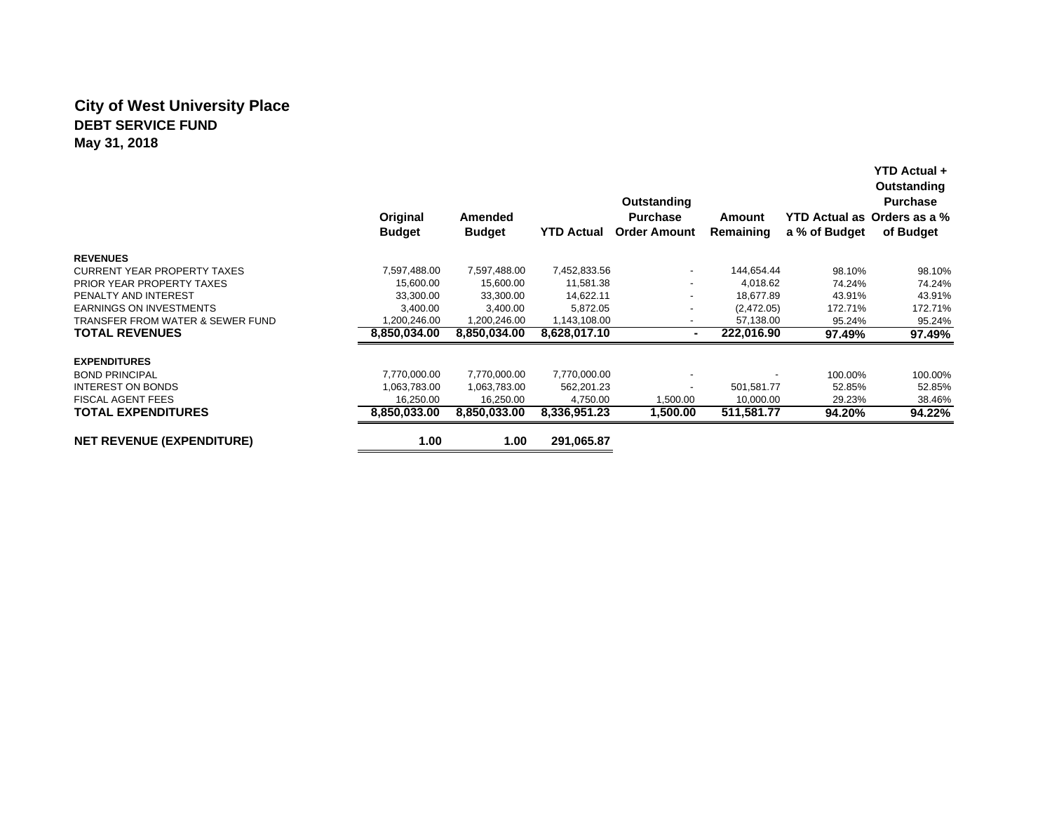## **City of West University Place DEBT SERVICE FUNDMay 31, 2018**

|                                    |               |               |                   | Outstanding              |            |               | Outstanding<br><b>Purchase</b> |
|------------------------------------|---------------|---------------|-------------------|--------------------------|------------|---------------|--------------------------------|
|                                    | Original      | Amended       |                   | <b>Purchase</b>          | Amount     |               | YTD Actual as Orders as a %    |
|                                    | <b>Budget</b> | <b>Budget</b> | <b>YTD Actual</b> | <b>Order Amount</b>      | Remaining  | a % of Budget | of Budget                      |
| <b>REVENUES</b>                    |               |               |                   |                          |            |               |                                |
| <b>CURRENT YEAR PROPERTY TAXES</b> | 7,597,488.00  | 7,597,488.00  | 7,452,833.56      | ٠                        | 144,654.44 | 98.10%        | 98.10%                         |
| <b>PRIOR YEAR PROPERTY TAXES</b>   | 15,600.00     | 15,600.00     | 11,581.38         | $\overline{\phantom{a}}$ | 4,018.62   | 74.24%        | 74.24%                         |
| PENALTY AND INTEREST               | 33,300.00     | 33,300.00     | 14,622.11         | ٠                        | 18.677.89  | 43.91%        | 43.91%                         |
| <b>EARNINGS ON INVESTMENTS</b>     | 3,400.00      | 3,400.00      | 5,872.05          | -                        | (2,472.05) | 172.71%       | 172.71%                        |
| TRANSFER FROM WATER & SEWER FUND   | 1,200,246.00  | 1,200,246.00  | 1,143,108.00      |                          | 57,138.00  | 95.24%        | 95.24%                         |
| <b>TOTAL REVENUES</b>              | 8,850,034.00  | 8,850,034.00  | 8,628,017.10      |                          | 222,016.90 | 97.49%        | 97.49%                         |
| <b>EXPENDITURES</b>                |               |               |                   |                          |            |               |                                |
| <b>BOND PRINCIPAL</b>              | 7,770,000.00  | 7,770,000.00  | 7,770,000.00      |                          |            | 100.00%       | 100.00%                        |
| <b>INTEREST ON BONDS</b>           | 1.063.783.00  | 1,063,783.00  | 562,201.23        |                          | 501,581.77 | 52.85%        | 52.85%                         |
| <b>FISCAL AGENT FEES</b>           | 16,250.00     | 16,250.00     | 4,750.00          | 1,500.00                 | 10,000.00  | 29.23%        | 38.46%                         |
| <b>TOTAL EXPENDITURES</b>          | 8,850,033.00  | 8,850,033.00  | 8,336,951.23      | 1,500.00                 | 511,581.77 | 94.20%        | 94.22%                         |
| <b>NET REVENUE (EXPENDITURE)</b>   | 1.00          | 1.00          | 291,065.87        |                          |            |               |                                |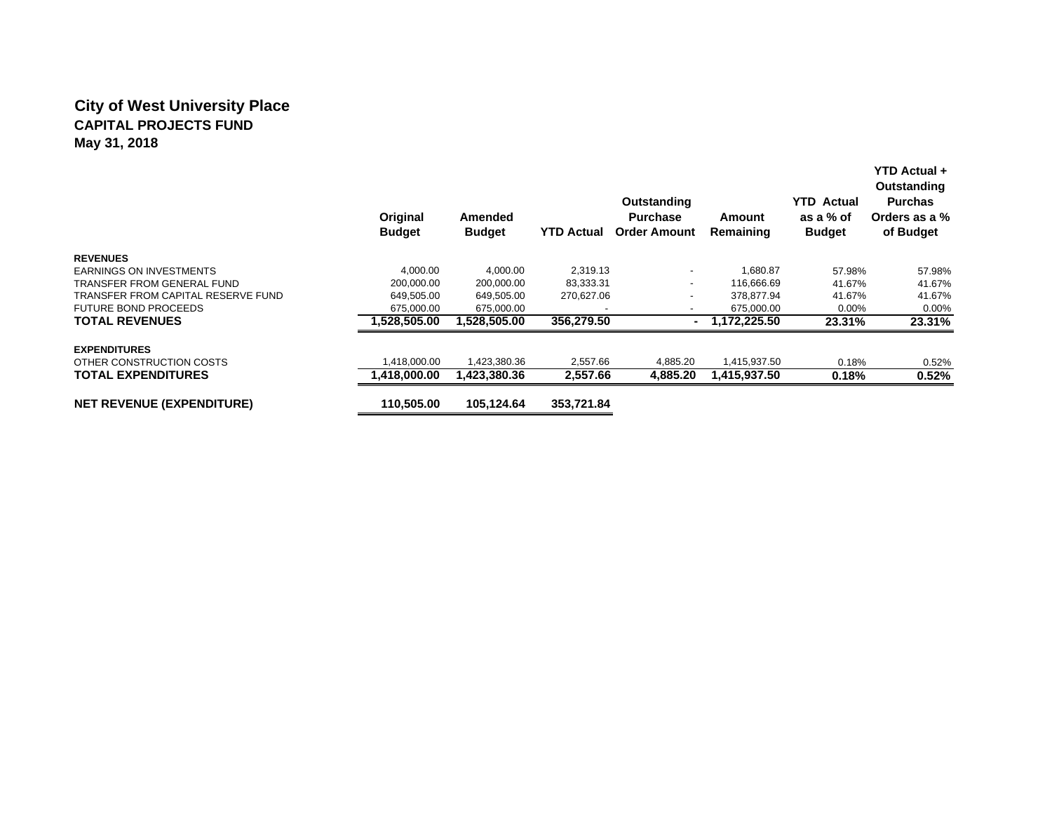## **City of West University Place CAPITAL PROJECTS FUNDMay 31, 2018**

|                                    | Original<br><b>Budget</b> | Amended<br><b>Budget</b> | <b>YTD Actual</b> | Outstanding<br><b>Purchase</b><br><b>Order Amount</b> | Amount<br>Remaining | <b>YTD Actual</b><br>as a % of<br><b>Budget</b> | YTD Actual +<br>Outstanding<br><b>Purchas</b><br>Orders as a %<br>of Budget |
|------------------------------------|---------------------------|--------------------------|-------------------|-------------------------------------------------------|---------------------|-------------------------------------------------|-----------------------------------------------------------------------------|
| <b>REVENUES</b>                    |                           |                          |                   |                                                       |                     |                                                 |                                                                             |
| <b>EARNINGS ON INVESTMENTS</b>     | 4,000.00                  | 4,000.00                 | 2,319.13          | $\overline{\phantom{a}}$                              | 1,680.87            | 57.98%                                          | 57.98%                                                                      |
| <b>TRANSFER FROM GENERAL FUND</b>  | 200.000.00                | 200,000.00               | 83,333.31         | $\overline{\phantom{a}}$                              | 116.666.69          | 41.67%                                          | 41.67%                                                                      |
| TRANSFER FROM CAPITAL RESERVE FUND | 649,505.00                | 649,505.00               | 270,627.06        | $\overline{\phantom{a}}$                              | 378,877.94          | 41.67%                                          | 41.67%                                                                      |
| <b>FUTURE BOND PROCEEDS</b>        | 675,000.00                | 675,000.00               |                   | $\overline{\phantom{a}}$                              | 675,000.00          | $0.00\%$                                        | $0.00\%$                                                                    |
| <b>TOTAL REVENUES</b>              | 1.528.505.00              | 1,528,505.00             | 356,279.50        | ۰.                                                    | 1,172,225.50        | 23.31%                                          | 23.31%                                                                      |
| <b>EXPENDITURES</b>                |                           |                          |                   |                                                       |                     |                                                 |                                                                             |
| OTHER CONSTRUCTION COSTS           | 1,418,000.00              | 1,423,380.36             | 2,557.66          | 4,885.20                                              | 1,415,937.50        | 0.18%                                           | 0.52%                                                                       |
| <b>TOTAL EXPENDITURES</b>          | 1,418,000.00              | 1,423,380.36             | 2,557.66          | 4,885.20                                              | 1,415,937.50        | 0.18%                                           | 0.52%                                                                       |
| <b>NET REVENUE (EXPENDITURE)</b>   | 110.505.00                | 105.124.64               | 353.721.84        |                                                       |                     |                                                 |                                                                             |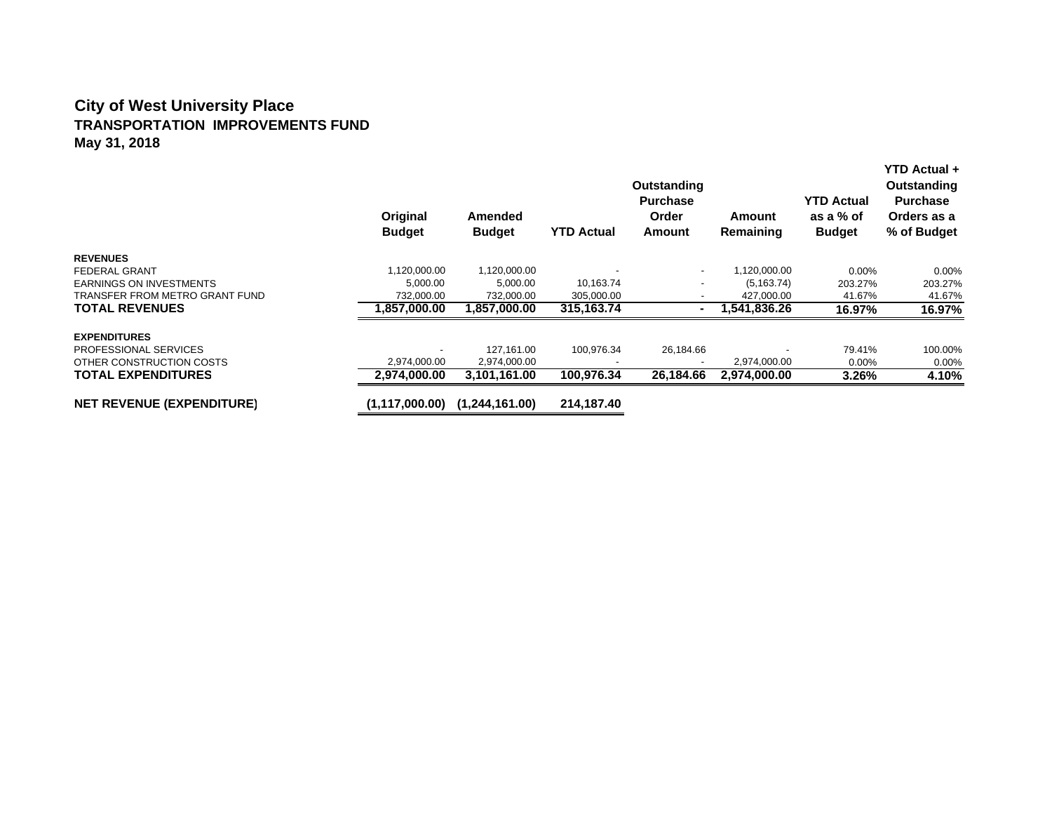#### **City of West University Place TRANSPORTATION IMPROVEMENTS FUND May 31, 2018**

|                                  | Original<br><b>Budget</b> | Amended<br><b>Budget</b> | <b>YTD Actual</b> | Outstanding<br><b>Purchase</b><br>Order<br>Amount | Amount<br>Remaining | <b>YTD Actual</b><br>as a % of<br><b>Budget</b> | YTD Actual +<br>Outstanding<br><b>Purchase</b><br>Orders as a<br>% of Budget |
|----------------------------------|---------------------------|--------------------------|-------------------|---------------------------------------------------|---------------------|-------------------------------------------------|------------------------------------------------------------------------------|
| <b>REVENUES</b>                  |                           |                          |                   |                                                   |                     |                                                 |                                                                              |
| FEDERAL GRANT                    | 1,120,000.00              | 1,120,000.00             |                   | $\overline{\phantom{a}}$                          | 1,120,000.00        | $0.00\%$                                        | $0.00\%$                                                                     |
| <b>EARNINGS ON INVESTMENTS</b>   | 5,000.00                  | 5,000.00                 | 10,163.74         |                                                   | (5, 163.74)         | 203.27%                                         | 203.27%                                                                      |
| TRANSFER FROM METRO GRANT FUND   | 732,000.00                | 732,000.00               | 305,000.00        |                                                   | 427,000.00          | 41.67%                                          | 41.67%                                                                       |
| <b>TOTAL REVENUES</b>            | 1,857,000.00              | 1,857,000.00             | 315,163.74        | ۰                                                 | 1,541,836.26        | 16.97%                                          | 16.97%                                                                       |
| <b>EXPENDITURES</b>              |                           |                          |                   |                                                   |                     |                                                 |                                                                              |
| <b>PROFESSIONAL SERVICES</b>     |                           | 127,161.00               | 100,976.34        | 26,184.66                                         |                     | 79.41%                                          | 100.00%                                                                      |
| OTHER CONSTRUCTION COSTS         | 2,974,000.00              | 2,974,000.00             |                   |                                                   | 2,974,000.00        | 0.00%                                           | $0.00\%$                                                                     |
| <b>TOTAL EXPENDITURES</b>        | 2.974.000.00              | 3,101,161.00             | 100,976.34        | 26.184.66                                         | 2,974,000.00        | 3.26%                                           | 4.10%                                                                        |
| <b>NET REVENUE (EXPENDITURE)</b> | (1, 117, 000.00)          | (1,244,161.00)           | 214,187.40        |                                                   |                     |                                                 |                                                                              |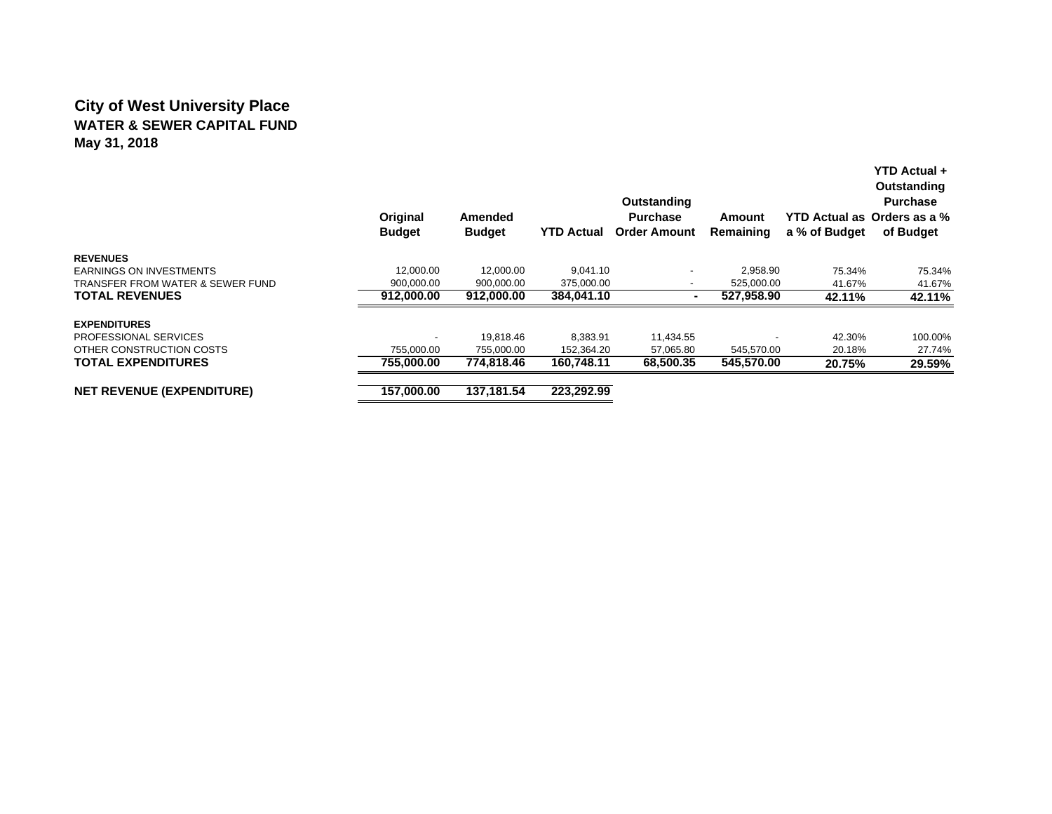## **City of West University Place WATER & SEWER CAPITAL FUNDMay 31, 2018**

|                                  | Original<br><b>Budget</b> | <b>Amended</b><br><b>Budget</b> | <b>YTD Actual</b> | Outstanding<br><b>Purchase</b><br><b>Order Amount</b> | Amount<br>Remaining | a % of Budget | <b>YTD Actual +</b><br>Outstanding<br><b>Purchase</b><br>YTD Actual as Orders as a %<br>of Budget |
|----------------------------------|---------------------------|---------------------------------|-------------------|-------------------------------------------------------|---------------------|---------------|---------------------------------------------------------------------------------------------------|
| <b>REVENUES</b>                  |                           |                                 |                   |                                                       |                     |               |                                                                                                   |
| <b>EARNINGS ON INVESTMENTS</b>   | 12.000.00                 | 12.000.00                       | 9,041.10          | $\overline{\phantom{0}}$                              | 2,958.90            | 75.34%        | 75.34%                                                                                            |
| TRANSFER FROM WATER & SEWER FUND | 900,000.00                | 900,000.00                      | 375,000.00        | $\overline{\phantom{0}}$                              | 525,000.00          | 41.67%        | 41.67%                                                                                            |
| <b>TOTAL REVENUES</b>            | 912,000.00                | 912,000.00                      | 384,041.10        | $\blacksquare$                                        | 527,958.90          | 42.11%        | 42.11%                                                                                            |
| <b>EXPENDITURES</b>              |                           |                                 |                   |                                                       |                     |               |                                                                                                   |
| <b>PROFESSIONAL SERVICES</b>     |                           | 19.818.46                       | 8,383.91          | 11,434.55                                             |                     | 42.30%        | 100.00%                                                                                           |
| OTHER CONSTRUCTION COSTS         | 755,000.00                | 755.000.00                      | 152,364.20        | 57,065.80                                             | 545,570.00          | 20.18%        | 27.74%                                                                                            |
| <b>TOTAL EXPENDITURES</b>        | 755.000.00                | 774.818.46                      | 160.748.11        | 68,500.35                                             | 545,570.00          | 20.75%        | 29.59%                                                                                            |
| NET REVENUE (EXPENDITURE)        | 157.000.00                | 137.181.54                      | 223,292.99        |                                                       |                     |               |                                                                                                   |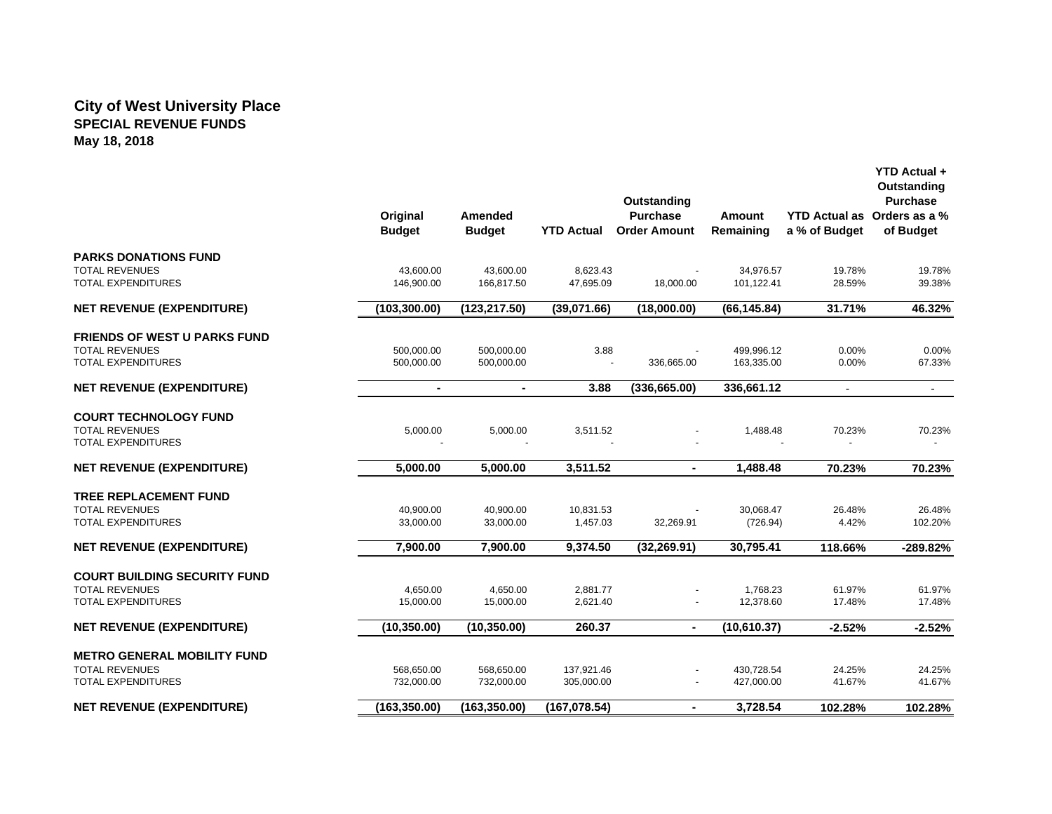#### **City of West University Place SPECIAL REVENUE FUNDS May 18, 2018**

|                                     | Original<br><b>Budget</b> | Amended<br><b>Budget</b> | <b>YTD Actual</b> | Outstanding<br><b>Purchase</b><br><b>Order Amount</b> | Amount<br>Remaining | a % of Budget | YTD Actual +<br>Outstanding<br><b>Purchase</b><br>YTD Actual as Orders as a %<br>of Budget |
|-------------------------------------|---------------------------|--------------------------|-------------------|-------------------------------------------------------|---------------------|---------------|--------------------------------------------------------------------------------------------|
| <b>PARKS DONATIONS FUND</b>         |                           |                          |                   |                                                       |                     |               |                                                                                            |
| <b>TOTAL REVENUES</b>               | 43,600.00                 | 43,600.00                | 8,623.43          |                                                       | 34,976.57           | 19.78%        | 19.78%                                                                                     |
| <b>TOTAL EXPENDITURES</b>           | 146,900.00                | 166.817.50               | 47.695.09         | 18,000.00                                             | 101.122.41          | 28.59%        | 39.38%                                                                                     |
| <b>NET REVENUE (EXPENDITURE)</b>    | (103, 300.00)             | (123, 217.50)            | (39.071.66)       | (18,000.00)                                           | (66, 145.84)        | 31.71%        | 46.32%                                                                                     |
| <b>FRIENDS OF WEST U PARKS FUND</b> |                           |                          |                   |                                                       |                     |               |                                                                                            |
| <b>TOTAL REVENUES</b>               | 500,000.00                | 500,000.00               | 3.88              |                                                       | 499,996.12          | 0.00%         | 0.00%                                                                                      |
| <b>TOTAL EXPENDITURES</b>           | 500,000.00                | 500,000.00               |                   | 336,665.00                                            | 163,335.00          | 0.00%         | 67.33%                                                                                     |
| <b>NET REVENUE (EXPENDITURE)</b>    | $\blacksquare$            | $\blacksquare$           | 3.88              | (336, 665.00)                                         | 336,661.12          | $\sim$        | $\sim$                                                                                     |
| <b>COURT TECHNOLOGY FUND</b>        |                           |                          |                   |                                                       |                     |               |                                                                                            |
| <b>TOTAL REVENUES</b>               | 5,000.00                  | 5,000.00                 | 3,511.52          |                                                       | 1,488.48            | 70.23%        | 70.23%                                                                                     |
| <b>TOTAL EXPENDITURES</b>           |                           |                          |                   |                                                       |                     |               |                                                                                            |
| <b>NET REVENUE (EXPENDITURE)</b>    | 5,000.00                  | 5,000.00                 | 3,511.52          | $\blacksquare$                                        | 1,488.48            | 70.23%        | 70.23%                                                                                     |
| <b>TREE REPLACEMENT FUND</b>        |                           |                          |                   |                                                       |                     |               |                                                                                            |
| <b>TOTAL REVENUES</b>               | 40,900.00                 | 40,900.00                | 10,831.53         |                                                       | 30,068.47           | 26.48%        | 26.48%                                                                                     |
| <b>TOTAL EXPENDITURES</b>           | 33,000.00                 | 33,000.00                | 1,457.03          | 32,269.91                                             | (726.94)            | 4.42%         | 102.20%                                                                                    |
| <b>NET REVENUE (EXPENDITURE)</b>    | 7.900.00                  | 7,900.00                 | 9,374.50          | (32, 269.91)                                          | 30,795.41           | 118.66%       | -289.82%                                                                                   |
| <b>COURT BUILDING SECURITY FUND</b> |                           |                          |                   |                                                       |                     |               |                                                                                            |
| <b>TOTAL REVENUES</b>               | 4,650.00                  | 4,650.00                 | 2,881.77          |                                                       | 1,768.23            | 61.97%        | 61.97%                                                                                     |
| <b>TOTAL EXPENDITURES</b>           | 15,000.00                 | 15,000.00                | 2,621.40          |                                                       | 12,378.60           | 17.48%        | 17.48%                                                                                     |
| <b>NET REVENUE (EXPENDITURE)</b>    | (10, 350.00)              | (10, 350.00)             | 260.37            | $\blacksquare$                                        | (10,610.37)         | $-2.52%$      | $-2.52%$                                                                                   |
| <b>METRO GENERAL MOBILITY FUND</b>  |                           |                          |                   |                                                       |                     |               |                                                                                            |
| <b>TOTAL REVENUES</b>               | 568,650.00                | 568,650.00               | 137,921.46        |                                                       | 430,728.54          | 24.25%        | 24.25%                                                                                     |
| TOTAL EXPENDITURES                  | 732,000.00                | 732,000.00               | 305,000.00        |                                                       | 427,000.00          | 41.67%        | 41.67%                                                                                     |
| <b>NET REVENUE (EXPENDITURE)</b>    | (163, 350.00)             | (163, 350.00)            | (167, 078.54)     | $\blacksquare$                                        | 3,728.54            | 102.28%       | 102.28%                                                                                    |